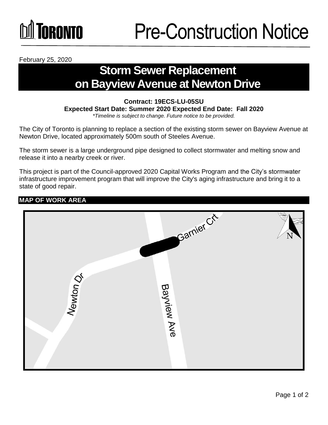## **TORONTO**

February 25, 2020

### **Storm Sewer Replacement on Bayview Avenue at Newton Drive**

#### **Contract: 19ECS-LU-05SU Expected Start Date: Summer 2020 Expected End Date: Fall 2020**  *\*Timeline is subject to change. Future notice to be provided.*

The City of Toronto is planning to replace a section of the existing storm sewer on Bayview Avenue at Newton Drive, located approximately 500m south of Steeles Avenue.

The storm sewer is a large underground pipe designed to collect stormwater and melting snow and release it into a nearby creek or river.

This project is part of the Council-approved 2020 Capital Works Program and the City's stormwater infrastructure improvement program that will improve the City's aging infrastructure and bring it to a state of good repair.

### **MAP OF WORK AREA**